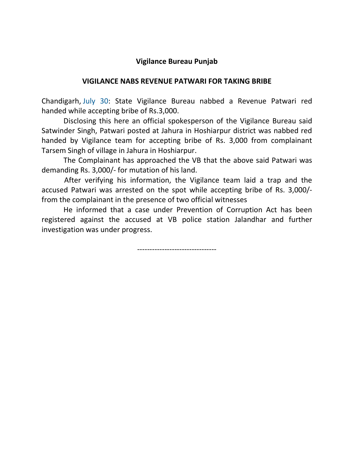## **Vigilance Bureau Punjab**

## **VIGILANCE NABS REVENUE PATWARI FOR TAKING BRIBE**

Chandigarh, July 30: State Vigilance Bureau nabbed a Revenue Patwari red handed while accepting bribe of Rs.3,000.

 Disclosing this here an official spokesperson of the Vigilance Bureau said Satwinder Singh, Patwari posted at Jahura in Hoshiarpur district was nabbed red handed by Vigilance team for accepting bribe of Rs. 3,000 from complainant Tarsem Singh of village in Jahura in Hoshiarpur.

 The Complainant has approached the VB that the above said Patwari was demanding Rs. 3,000/- for mutation of his land.

 After verifying his information, the Vigilance team laid a trap and the accused Patwari was arrested on the spot while accepting bribe of Rs. 3,000/ from the complainant in the presence of two official witnesses

 He informed that a case under Prevention of Corruption Act has been registered against the accused at VB police station Jalandhar and further investigation was under progress.

--------------------------------